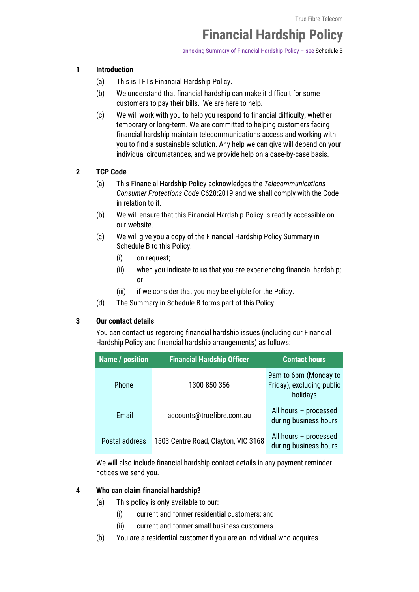# Financial Hardship Policy

annexing Summary of Financial Hardship Policy – see [Schedule B](#page-10-0)

## 1 Introduction

- (a) This is TFTs Financial Hardship Policy.
- (b) We understand that financial hardship can make it difficult for some customers to pay their bills. We are here to help.
- (c) We will work with you to help you respond to financial difficulty, whether temporary or long-term. We are committed to helping customers facing financial hardship maintain telecommunications access and working with you to find a sustainable solution. Any help we can give will depend on your individual circumstances, and we provide help on a case-by-case basis.

# 2 TCP Code

- (a) This Financial Hardship Policy acknowledges the *Telecommunications Consumer Protections Code* C628:2019 and we shall comply with the Code in relation to it.
- (b) We will ensure that this Financial Hardship Policy is readily accessible on our website.
- (c) We will give you a copy of the Financial Hardship Policy Summary in [Schedule B](#page-10-0) to this Policy:
	- (i) on request;
	- (ii) when you indicate to us that you are experiencing financial hardship; or
	- (iii) if we consider that you may be eligible for the Policy.
- (d) The Summary i[n Schedule B](#page-10-0) forms part of this Policy.

# <span id="page-0-0"></span>3 Our contact details

You can contact us regarding financial hardship issues (including our Financial Hardship Policy and financial hardship arrangements) as follows:

| <b>Name / position</b> | <b>Financial Hardship Officer</b>   | <b>Contact hours</b>                                           |
|------------------------|-------------------------------------|----------------------------------------------------------------|
| <b>Phone</b>           | 1300 850 356                        | 9am to 6pm (Monday to<br>Friday), excluding public<br>holidays |
| Email                  | accounts@truefibre.com.au           | All hours - processed<br>during business hours                 |
| Postal address         | 1503 Centre Road, Clayton, VIC 3168 | All hours - processed<br>during business hours                 |

We will also include financial hardship contact details in any payment reminder notices we send you.

## 4 Who can claim financial hardship?

- (a) This policy is only available to our:
	- (i) current and former residential customers; and
	- (ii) current and former small business customers.
- (b) You are a residential customer if you are an individual who acquires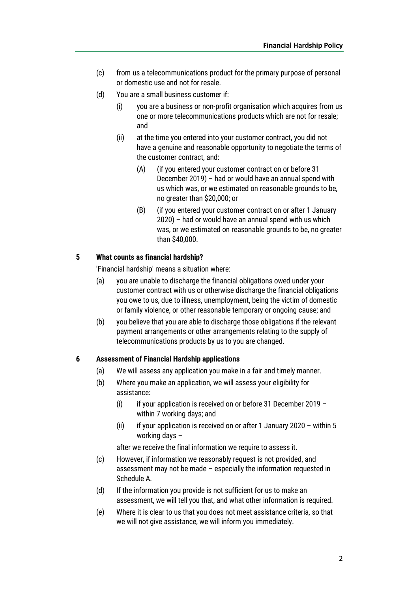- (c) from us a telecommunications product for the primary purpose of personal or domestic use and not for resale.
- (d) You are a small business customer if:
	- (i) you are a business or non-profit organisation which acquires from us one or more telecommunications products which are not for resale; and
	- (ii) at the time you entered into your customer contract, you did not have a genuine and reasonable opportunity to negotiate the terms of the customer contract, and:
		- (A) (if you entered your customer contract on or before 31 December 2019) – had or would have an annual spend with us which was, or we estimated on reasonable grounds to be, no greater than \$20,000; or
		- (B) (if you entered your customer contract on or after 1 January 2020) – had or would have an annual spend with us which was, or we estimated on reasonable grounds to be, no greater than \$40,000.

## 5 What counts as financial hardship?

'Financial hardship' means a situation where:

- (a) you are unable to discharge the financial obligations owed under your customer contract with us or otherwise discharge the financial obligations you owe to us, due to illness, unemployment, being the victim of domestic or family violence, or other reasonable temporary or ongoing cause; and
- (b) you believe that you are able to discharge those obligations if the relevant payment arrangements or other arrangements relating to the supply of telecommunications products by us to you are changed.

#### 6 Assessment of Financial Hardship applications

- (a) We will assess any application you make in a fair and timely manner.
- (b) Where you make an application, we will assess your eligibility for assistance:
	- (i) if your application is received on or before 31 December 2019 within 7 working days; and
	- (ii) if your application is received on or after 1 January 2020 within 5 working days –

after we receive the final information we require to assess it.

- (c) However, if information we reasonably request is not provided, and assessment may not be made – especially the information requested in [Schedule A.](#page-9-0)
- (d) If the information you provide is not sufficient for us to make an assessment, we will tell you that, and what other information is required.
- (e) Where it is clear to us that you does not meet assistance criteria, so that we will not give assistance, we will inform you immediately.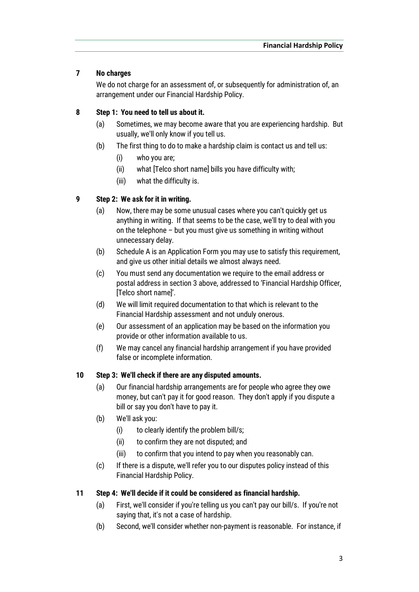# 7 No charges

We do not charge for an assessment of, or subsequently for administration of, an arrangement under our Financial Hardship Policy.

# 8 Step 1: You need to tell us about it.

- (a) Sometimes, we may become aware that you are experiencing hardship. But usually, we'll only know if you tell us.
- (b) The first thing to do to make a hardship claim is contact us and tell us:
	- (i) who you are;
	- (ii) what [Telco short name] bills you have difficulty with;
	- (iii) what the difficulty is.

# 9 Step 2: We ask for it in writing.

- (a) Now, there may be some unusual cases where you can't quickly get us anything in writing. If that seems to be the case, we'll try to deal with you on the telephone – but you must give us something in writing without unnecessary delay.
- (b) Schedule A is an Application Form you may use to satisfy this requirement, and give us other initial details we almost always need.
- (c) You must send any documentation we require to the email address or postal address in sectio[n 3](#page-0-0) above, addressed to 'Financial Hardship Officer, [Telco short name]'.
- (d) We will limit required documentation to that which is relevant to the Financial Hardship assessment and not unduly onerous.
- (e) Our assessment of an application may be based on the information you provide or other information available to us.
- (f) We may cancel any financial hardship arrangement if you have provided false or incomplete information.

# 10 Step 3: We'll check if there are any disputed amounts.

- (a) Our financial hardship arrangements are for people who agree they owe money, but can't pay it for good reason. They don't apply if you dispute a bill or say you don't have to pay it.
- (b) We'll ask you:
	- (i) to clearly identify the problem bill/s;
	- (ii) to confirm they are not disputed; and
	- (iii) to confirm that you intend to pay when you reasonably can.
- (c) If there is a dispute, we'll refer you to our disputes policy instead of this Financial Hardship Policy.

# 11 Step 4: We'll decide if it could be considered as financial hardship.

- (a) First, we'll consider if you're telling us you can't pay our bill/s. If you're not saying that, it's not a case of hardship.
- (b) Second, we'll consider whether non-payment is reasonable. For instance, if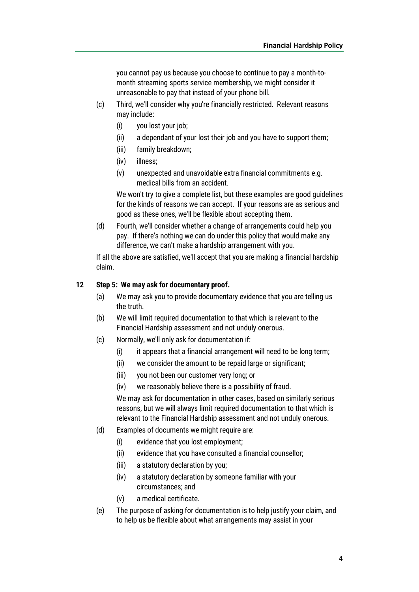you cannot pay us because you choose to continue to pay a month-tomonth streaming sports service membership, we might consider it unreasonable to pay that instead of your phone bill.

- (c) Third, we'll consider why you're financially restricted. Relevant reasons may include:
	- (i) you lost your job;
	- (ii) a dependant of your lost their job and you have to support them;
	- (iii) family breakdown;
	- (iv) illness;
	- (v) unexpected and unavoidable extra financial commitments e.g. medical bills from an accident.

We won't try to give a complete list, but these examples are good guidelines for the kinds of reasons we can accept. If your reasons are as serious and good as these ones, we'll be flexible about accepting them.

(d) Fourth, we'll consider whether a change of arrangements could help you pay. If there's nothing we can do under this policy that would make any difference, we can't make a hardship arrangement with you.

If all the above are satisfied, we'll accept that you are making a financial hardship claim.

## 12 Step 5: We may ask for documentary proof.

- (a) We may ask you to provide documentary evidence that you are telling us the truth.
- (b) We will limit required documentation to that which is relevant to the Financial Hardship assessment and not unduly onerous.
- (c) Normally, we'll only ask for documentation if:
	- (i) it appears that a financial arrangement will need to be long term;
	- (ii) we consider the amount to be repaid large or significant;
	- (iii) you not been our customer very long; or
	- (iv) we reasonably believe there is a possibility of fraud.

We may ask for documentation in other cases, based on similarly serious reasons, but we will always limit required documentation to that which is relevant to the Financial Hardship assessment and not unduly onerous.

- (d) Examples of documents we might require are:
	- (i) evidence that you lost employment;
	- (ii) evidence that you have consulted a financial counsellor;
	- (iii) a statutory declaration by you;
	- (iv) a statutory declaration by someone familiar with your circumstances; and
	- (v) a medical certificate.
- (e) The purpose of asking for documentation is to help justify your claim, and to help us be flexible about what arrangements may assist in your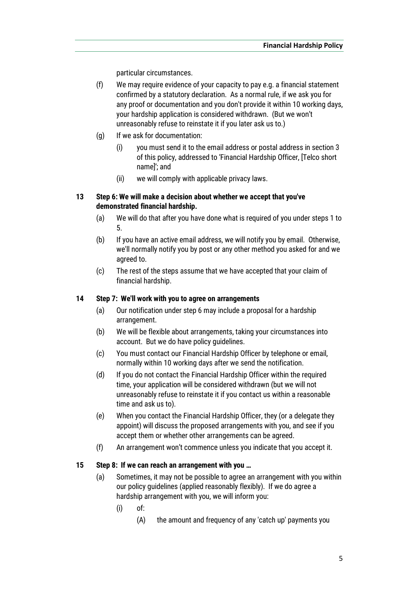particular circumstances.

- (f) We may require evidence of your capacity to pay e.g. a financial statement confirmed by a statutory declaration. As a normal rule, if we ask you for any proof or documentation and you don't provide it within 10 working days, your hardship application is considered withdrawn. (But we won't unreasonably refuse to reinstate it if you later ask us to.)
- (g) If we ask for documentation:
	- (i) you must send it to the email address or postal address in section [3](#page-0-0) of this policy, addressed to 'Financial Hardship Officer, [Telco short name]'; and
	- (ii) we will comply with applicable privacy laws.

# 13 Step 6: We will make a decision about whether we accept that you've demonstrated financial hardship.

- (a) We will do that after you have done what is required of you under steps 1 to 5.
- (b) If you have an active email address, we will notify you by email. Otherwise, we'll normally notify you by post or any other method you asked for and we agreed to.
- (c) The rest of the steps assume that we have accepted that your claim of financial hardship.

# 14 Step 7: We'll work with you to agree on arrangements

- (a) Our notification under step 6 may include a proposal for a hardship arrangement.
- (b) We will be flexible about arrangements, taking your circumstances into account. But we do have policy guidelines.
- (c) You must contact our Financial Hardship Officer by telephone or email, normally within 10 working days after we send the notification.
- (d) If you do not contact the Financial Hardship Officer within the required time, your application will be considered withdrawn (but we will not unreasonably refuse to reinstate it if you contact us within a reasonable time and ask us to).
- (e) When you contact the Financial Hardship Officer, they (or a delegate they appoint) will discuss the proposed arrangements with you, and see if you accept them or whether other arrangements can be agreed.
- (f) An arrangement won't commence unless you indicate that you accept it.

# <span id="page-4-1"></span><span id="page-4-0"></span>15 Step 8: If we can reach an arrangement with you …

- (a) Sometimes, it may not be possible to agree an arrangement with you within our policy guidelines (applied reasonably flexibly). If we do agree a hardship arrangement with you, we will inform you:
	- (i) of:
		- (A) the amount and frequency of any 'catch up' payments you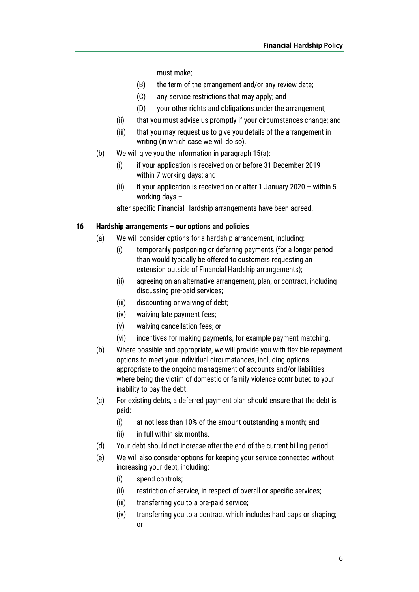must make;

- (B) the term of the arrangement and/or any review date;
- (C) any service restrictions that may apply; and
- (D) your other rights and obligations under the arrangement;
- (ii) that you must advise us promptly if your circumstances change; and
- (iii) that you may request us to give you details of the arrangement in writing (in which case we will do so).
- (b) We will give you the information in paragrap[h 15](#page-4-0)[\(a\):](#page-4-1)
	- (i) if your application is received on or before 31 December 2019 within 7 working days; and
	- (ii) if your application is received on or after 1 January 2020 within 5 working days –

after specific Financial Hardship arrangements have been agreed.

## 16 Hardship arrangements – our options and policies

- (a) We will consider options for a hardship arrangement, including:
	- (i) temporarily postponing or deferring payments (for a longer period than would typically be offered to customers requesting an extension outside of Financial Hardship arrangements);
	- (ii) agreeing on an alternative arrangement, plan, or contract, including discussing pre-paid services;
	- (iii) discounting or waiving of debt;
	- (iv) waiving late payment fees;
	- (v) waiving cancellation fees; or
	- (vi) incentives for making payments, for example payment matching.
- (b) Where possible and appropriate, we will provide you with flexible repayment options to meet your individual circumstances, including options appropriate to the ongoing management of accounts and/or liabilities where being the victim of domestic or family violence contributed to your inability to pay the debt.
- (c) For existing debts, a deferred payment plan should ensure that the debt is paid:
	- (i) at not less than 10% of the amount outstanding a month; and
	- (ii) in full within six months.
- (d) Your debt should not increase after the end of the current billing period.
- (e) We will also consider options for keeping your service connected without increasing your debt, including:
	- (i) spend controls;
	- (ii) restriction of service, in respect of overall or specific services;
	- (iii) transferring you to a pre-paid service;
	- (iv) transferring you to a contract which includes hard caps or shaping; or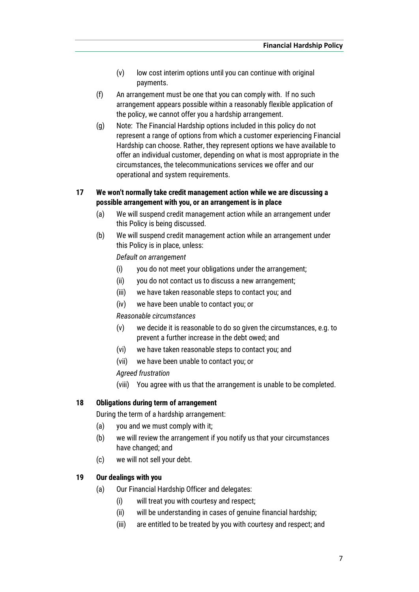- (v) low cost interim options until you can continue with original payments.
- (f) An arrangement must be one that you can comply with. If no such arrangement appears possible within a reasonably flexible application of the policy, we cannot offer you a hardship arrangement.
- (g) Note: The Financial Hardship options included in this policy do not represent a range of options from which a customer experiencing Financial Hardship can choose. Rather, they represent options we have available to offer an individual customer, depending on what is most appropriate in the circumstances, the telecommunications services we offer and our operational and system requirements.

# 17 We won't normally take credit management action while we are discussing a possible arrangement with you, or an arrangement is in place

- (a) We will suspend credit management action while an arrangement under this Policy is being discussed.
- (b) We will suspend credit management action while an arrangement under this Policy is in place, unless:

*Default on arrangement*

- (i) you do not meet your obligations under the arrangement;
- (ii) you do not contact us to discuss a new arrangement;
- (iii) we have taken reasonable steps to contact you; and
- (iv) we have been unable to contact you; or

#### *Reasonable circumstances*

- (v) we decide it is reasonable to do so given the circumstances, e.g. to prevent a further increase in the debt owed; and
- (vi) we have taken reasonable steps to contact you; and
- (vii) we have been unable to contact you; or

*Agreed frustration*

(viii) You agree with us that the arrangement is unable to be completed.

## 18 Obligations during term of arrangement

During the term of a hardship arrangement:

- (a) you and we must comply with it;
- (b) we will review the arrangement if you notify us that your circumstances have changed; and
- (c) we will not sell your debt.

#### 19 Our dealings with you

- (a) Our Financial Hardship Officer and delegates:
	- (i) will treat you with courtesy and respect;
	- (ii) will be understanding in cases of genuine financial hardship;
	- (iii) are entitled to be treated by you with courtesy and respect; and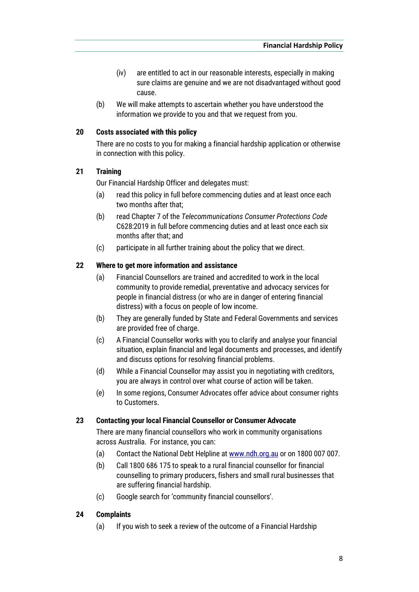- (iv) are entitled to act in our reasonable interests, especially in making sure claims are genuine and we are not disadvantaged without good cause.
- (b) We will make attempts to ascertain whether you have understood the information we provide to you and that we request from you.

## 20 Costs associated with this policy

There are no costs to you for making a financial hardship application or otherwise in connection with this policy.

## 21 Training

Our Financial Hardship Officer and delegates must:

- (a) read this policy in full before commencing duties and at least once each two months after that;
- (b) read Chapter 7 of the *Telecommunications Consumer Protections Code* C628:2019 in full before commencing duties and at least once each six months after that; and
- (c) participate in all further training about the policy that we direct.

## 22 Where to get more information and assistance

- (a) Financial Counsellors are trained and accredited to work in the local community to provide remedial, preventative and advocacy services for people in financial distress (or who are in danger of entering financial distress) with a focus on people of low income.
- (b) They are generally funded by State and Federal Governments and services are provided free of charge.
- (c) A Financial Counsellor works with you to clarify and analyse your financial situation, explain financial and legal documents and processes, and identify and discuss options for resolving financial problems.
- (d) While a Financial Counsellor may assist you in negotiating with creditors, you are always in control over what course of action will be taken.
- (e) In some regions, Consumer Advocates offer advice about consumer rights to Customers.

#### 23 Contacting your local Financial Counsellor or Consumer Advocate

There are many financial counsellors who work in community organisations across Australia. For instance, you can:

- (a) Contact the National Debt Helpline a[t www.ndh.org.au](http://www.ndh.org.au/) or on 1800 007 007.
- (b) Call 1800 686 175 to speak to a rural financial counsellor for financial counselling to primary producers, fishers and small rural businesses that are suffering financial hardship.
- (c) Google search for 'community financial counsellors'.

## 24 Complaints

(a) If you wish to seek a review of the outcome of a Financial Hardship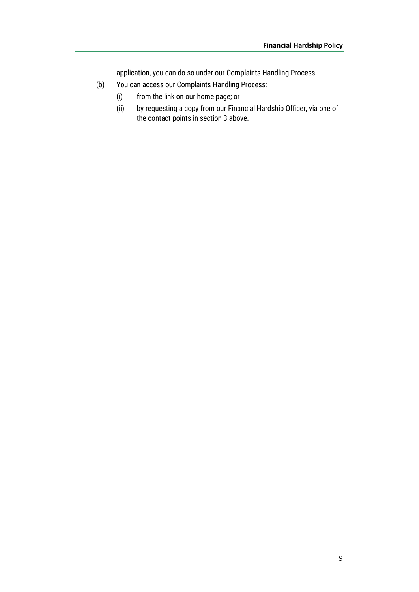application, you can do so under our Complaints Handling Process.

- (b) You can access our Complaints Handling Process:
	- (i) from the link on our home page; or
	- (ii) by requesting a copy from our Financial Hardship Officer, via one of the contact points in sectio[n 3](#page-0-0) above.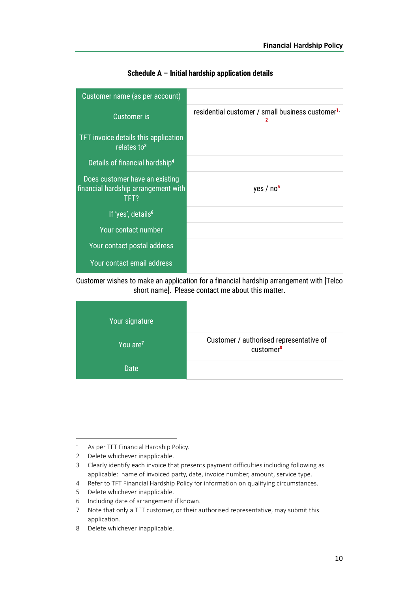<span id="page-9-0"></span>

| Customer name (as per account)                                                |                                                                   |
|-------------------------------------------------------------------------------|-------------------------------------------------------------------|
| <b>Customer is</b>                                                            | residential customer / small business customer <sup>1,</sup><br>2 |
| TFT invoice details this application<br>relates to <sup>3</sup>               |                                                                   |
| Details of financial hardship <sup>4</sup>                                    |                                                                   |
| Does customer have an existing<br>financial hardship arrangement with<br>TFT? | yes / no <sup>5</sup>                                             |
| If 'yes', details <sup>6</sup>                                                |                                                                   |
| Your contact number                                                           |                                                                   |
| Your contact postal address                                                   |                                                                   |
| Your contact email address                                                    |                                                                   |

Schedule A – Initial hardship application details

Customer wishes to make an application for a financial hardship arrangement with [Telco short name]. Please contact me about this matter.



1

<sup>1</sup> As per TFT Financial Hardship Policy.

<sup>2</sup> Delete whichever inapplicable.

<sup>3</sup> Clearly identify each invoice that presents payment difficulties including following as applicable: name of invoiced party, date, invoice number, amount, service type.

<sup>4</sup> Refer to TFT Financial Hardship Policy for information on qualifying circumstances.

<sup>5</sup> Delete whichever inapplicable.

<sup>6</sup> Including date of arrangement if known.

<sup>7</sup> Note that only a TFT customer, or their authorised representative, may submit this application.

<sup>8</sup> Delete whichever inapplicable.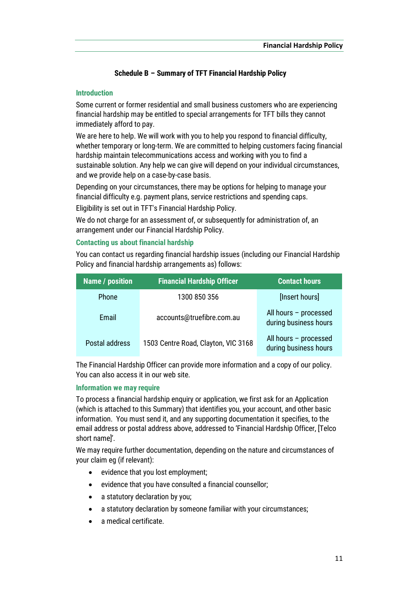## Schedule B – Summary of TFT Financial Hardship Policy

## <span id="page-10-0"></span>**Introduction**

Some current or former residential and small business customers who are experiencing financial hardship may be entitled to special arrangements for TFT bills they cannot immediately afford to pay.

We are here to help. We will work with you to help you respond to financial difficulty, whether temporary or long-term. We are committed to helping customers facing financial hardship maintain telecommunications access and working with you to find a sustainable solution. Any help we can give will depend on your individual circumstances, and we provide help on a case-by-case basis.

Depending on your circumstances, there may be options for helping to manage your financial difficulty e.g. payment plans, service restrictions and spending caps.

Eligibility is set out in TFT's Financial Hardship Policy.

We do not charge for an assessment of, or subsequently for administration of, an arrangement under our Financial Hardship Policy.

#### Contacting us about financial hardship

You can contact us regarding financial hardship issues (including our Financial Hardship Policy and financial hardship arrangements as) follows:

| <b>Name / position</b> | <b>Financial Hardship Officer</b>   | <b>Contact hours</b>                           |
|------------------------|-------------------------------------|------------------------------------------------|
| <b>Phone</b>           | 1300 850 356                        | [Insert hours]                                 |
| Email                  | accounts@truefibre.com.au           | All hours - processed<br>during business hours |
| Postal address         | 1503 Centre Road, Clayton, VIC 3168 | All hours - processed<br>during business hours |

The Financial Hardship Officer can provide more information and a copy of our policy. You can also access it in our web site.

## Information we may require

To process a financial hardship enquiry or application, we first ask for an Application (which is attached to this Summary) that identifies you, your account, and other basic information. You must send it, and any supporting documentation it specifies, to the email address or postal address above, addressed to 'Financial Hardship Officer, [Telco short name]'.

We may require further documentation, depending on the nature and circumstances of your claim eg (if relevant):

- evidence that you lost employment;
- evidence that you have consulted a financial counsellor;
- a statutory declaration by you;
- a statutory declaration by someone familiar with your circumstances;
- a medical certificate.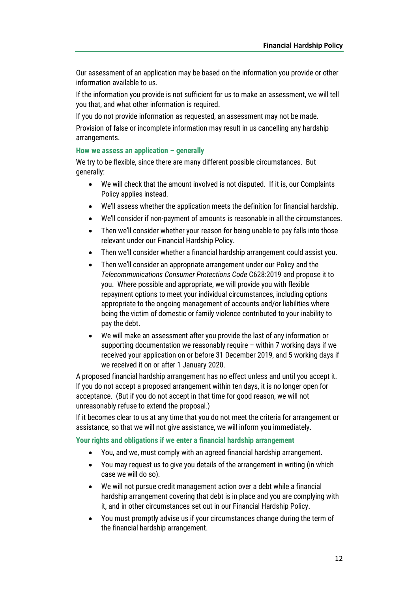Our assessment of an application may be based on the information you provide or other information available to us.

If the information you provide is not sufficient for us to make an assessment, we will tell you that, and what other information is required.

If you do not provide information as requested, an assessment may not be made.

Provision of false or incomplete information may result in us cancelling any hardship arrangements.

# How we assess an application – generally

We try to be flexible, since there are many different possible circumstances. But generally:

- We will check that the amount involved is not disputed. If it is, our Complaints Policy applies instead.
- We'll assess whether the application meets the definition for financial hardship.
- We'll consider if non-payment of amounts is reasonable in all the circumstances.
- Then we'll consider whether your reason for being unable to pay falls into those relevant under our Financial Hardship Policy.
- Then we'll consider whether a financial hardship arrangement could assist you.
- Then we'll consider an appropriate arrangement under our Policy and the *Telecommunications Consumer Protections Code* C628:2019 and propose it to you. Where possible and appropriate, we will provide you with flexible repayment options to meet your individual circumstances, including options appropriate to the ongoing management of accounts and/or liabilities where being the victim of domestic or family violence contributed to your inability to pay the debt.
- We will make an assessment after you provide the last of any information or supporting documentation we reasonably require – within 7 working days if we received your application on or before 31 December 2019, and 5 working days if we received it on or after 1 January 2020.

A proposed financial hardship arrangement has no effect unless and until you accept it. If you do not accept a proposed arrangement within ten days, it is no longer open for acceptance. (But if you do not accept in that time for good reason, we will not unreasonably refuse to extend the proposal.)

If it becomes clear to us at any time that you do not meet the criteria for arrangement or assistance, so that we will not give assistance, we will inform you immediately.

#### Your rights and obligations if we enter a financial hardship arrangement

- You, and we, must comply with an agreed financial hardship arrangement.
- You may request us to give you details of the arrangement in writing (in which case we will do so).
- We will not pursue credit management action over a debt while a financial hardship arrangement covering that debt is in place and you are complying with it, and in other circumstances set out in our Financial Hardship Policy.
- You must promptly advise us if your circumstances change during the term of the financial hardship arrangement.